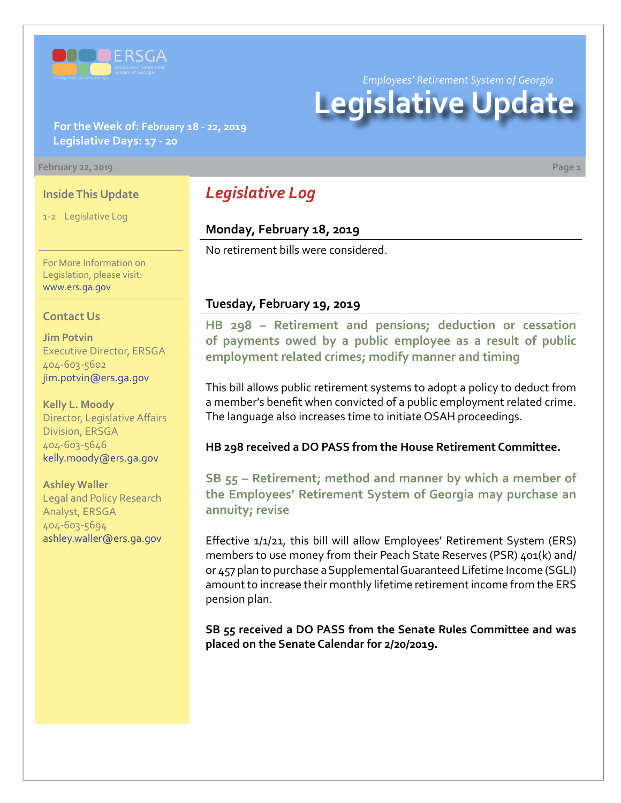

*Employees' Retirement System of Georgia*

# **Legislative Update**

## **For the Week of: February 18 - 22, 2019 Legislative Days: 17 - 20**

#### **February 22, 2019 Page 1**

## **Inside This Update**

1-2 Legislative Log

For More Information on Legislation, please visit: [www.ers.ga.gov](http://www.ers.ga.gov/)

#### **Contact Us**

**Jim Potvin** Executive Director, ERSGA 404-603-5602 jim.potvin@ers.ga.gov

**Kelly L. Moody** Director, Legislative Affairs Division, ERSGA 404-603-5646 kelly.moody@ers.ga.gov

**Ashley Waller** Legal and Policy Research Analyst, ERSGA 404-603-5694 ashley.waller@ers.ga.gov

# *Legislative Log*

# **Monday, February 18, 2019**

No retirement bills were considered.

### **Tuesday, February 19, 2019**

**HB 29[8 –](http://www.legis.ga.gov/legislation/en-US/Display/20192020/HB/298) Retirement and pensions; deduction or cessation of payments owed by a public employee as a result of public employment related crimes; modify manner and timing**

This bill allows public retirement systems to adopt a policy to deduct from a member's benefit when convicted of a public employment related crime. The language also increases time to initiate OSAH proceedings.

**HB 298 received a DO PASS from the House Retirement Committee.**

**SB 55 [– R](http://www.legis.ga.gov/legislation/en-US/Display/20192020/SB/55)etirement; method and manner by which a member of the Employees' Retirement System of Georgia may purchase an annuity; revise**

Effective 1/1/21, this bill will allow Employees' Retirement System (ERS) members to use money from their Peach State Reserves (PSR) 401(k) and/ or 457 plan to purchase a Supplemental Guaranteed Lifetime Income (SGLI) amount to increase their monthly lifetime retirement income from the ERS pension plan.

**SB 55 received a DO PASS from the Senate Rules Committee and was placed on the Senate Calendar for 2/20/2019.**